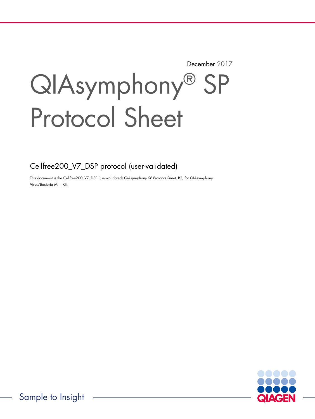December 2017

# QIAsymphony® SP Protocol Sheet

Cellfree200\_V7\_DSP protocol (user-validated)

This document is the Cellfree200\_V7\_DSP (user-validated) QIAsymphony SP Protocol Sheet, R2, for QIAsymphony Virus/Bacteria Mini Kit.

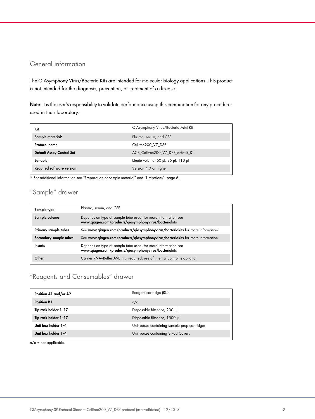## General information

The QIAsymphony Virus/Bacteria Kits are intended for molecular biology applications. This product is not intended for the diagnosis, prevention, or treatment of a disease.

Note: It is the user's responsibility to validate performance using this combination for any procedures used in their laboratory.

| Kit                              | QIAsymphony Virus/Bacteria Mini Kit |
|----------------------------------|-------------------------------------|
| Sample material*                 | Plasma, serum, and CSF              |
| Protocol name                    | Cellfree200 V7 DSP                  |
| Default Assay Control Set        | ACS Cellfree200 V7 DSP default IC   |
| Editable                         | Eluate volume: 60 µl, 85 µl, 110 µl |
| <b>Required software version</b> | Version 4.0 or higher               |

\* For additional information see "Preparation of sample material" and "Limitations", page 6.

# "Sample" drawer

| Sample type            | Plasma, serum, and CSF                                                                                                 |
|------------------------|------------------------------------------------------------------------------------------------------------------------|
| Sample volume          | Depends on type of sample tube used; for more information see<br>www.qiagen.com/products/qiasymphonyvirus/bacteriakits |
| Primary sample tubes   | See www.qiagen.com/products/qiasymphonyvirus/bacteriakits for more information                                         |
| Secondary sample tubes | See www.qiagen.com/products/qiasymphonyvirus/bacteriakits for more information                                         |
| <b>Inserts</b>         | Depends on type of sample tube used; for more information see<br>www.qiagen.com/products/qiasymphonyvirus/bacteriakits |
| Other                  | Carrier RNA-Buffer AVE mix required; use of internal control is optional                                               |

# "Reagents and Consumables" drawer

| Position A1 and/or A2 | Reagent cartridge (RC)                       |  |
|-----------------------|----------------------------------------------|--|
| <b>Position B1</b>    | n/a                                          |  |
| Tip rack holder 1-17  | Disposable filter-tips, 200 µl               |  |
| Tip rack holder 1-17  | Disposable filter-tips, 1500 µl              |  |
| Unit box holder 1-4   | Unit boxes containing sample prep cartridges |  |
| Unit box holder 1-4   | Unit boxes containing 8-Rod Covers           |  |

 $n/a = not applicable.$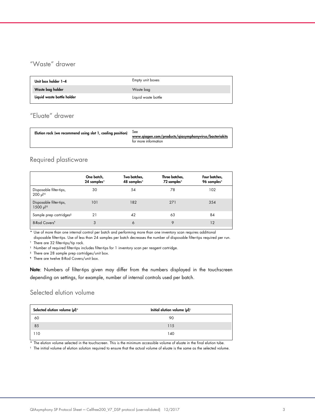# "Waste" drawer

| Unit box holder 1-4        | Empty unit boxes    |
|----------------------------|---------------------|
| Waste bag holder           | Waste bag           |
| Liquid waste bottle holder | Liquid waste bottle |

# "Eluate" drawer

| Elution rack (we recommend using slot 1, cooling position) $\delta$ bee | www.giagen.com/products/giasymphonyvirus/bacteriakits<br>for more information |
|-------------------------------------------------------------------------|-------------------------------------------------------------------------------|
|-------------------------------------------------------------------------|-------------------------------------------------------------------------------|

## Required plasticware

|                                                    | One batch,<br>24 samples* | Two batches,<br>48 samples* | Three batches,<br>72 samples* | Four batches,<br>96 samples* |
|----------------------------------------------------|---------------------------|-----------------------------|-------------------------------|------------------------------|
| Disposable filter-tips,<br>$200 \mu$ <sup>++</sup> | 30                        | 54                          | 78                            | 102                          |
| Disposable filter-tips,<br>1500 µl <sup>†</sup>    | 101                       | 182                         | 271                           | 354                          |
| Sample prep cartridges <sup>§</sup>                | 21                        | 42                          | 63                            | 84                           |
| 8-Rod Covers <sup>1</sup>                          | 3                         | 6                           | 9                             | 12                           |

\* Use of more than one internal control per batch and performing more than one inventory scan requires additional

disposable filter-tips. Use of less than 24 samples per batch decreases the number of disposable filter-tips required per run. † There are 32 filter-tips/tip rack.

‡ Number of required filter-tips includes filter-tips for 1 inventory scan per reagent cartridge.

§ There are 28 sample prep cartridges/unit box.

¶ There are twelve 8-Rod Covers/unit box.

Note: Numbers of filter-tips given may differ from the numbers displayed in the touchscreen depending on settings, for example, number of internal controls used per batch.

## Selected elution volume

| Selected elution volume (µl)* | Initial elution volume (µl) <sup>+</sup> |
|-------------------------------|------------------------------------------|
| 60                            | 90                                       |
| 85                            | 115                                      |
| 110                           | 140                                      |

\* The elution volume selected in the touchscreen. This is the minimum accessible volume of eluate in the final elution tube.

† The initial volume of elution solution required to ensure that the actual volume of eluate is the same as the selected volume.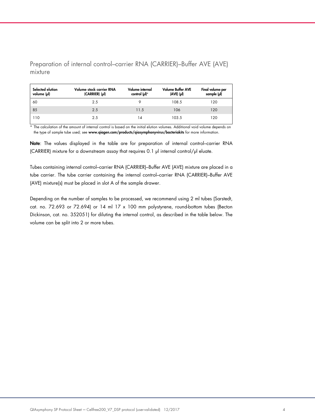Preparation of internal control–carrier RNA (CARRIER)–Buffer AVE (AVE) mixture

| Selected elution<br>volume (µl) | Volume stock carrier RNA<br>(CARRIER) (pl) | Volume internal<br>control $(\mu$ <sup>*</sup> | <b>Volume Buffer AVE</b><br>$(AVE)$ $(µ)$ | Final volume per<br>sample (µl) |
|---------------------------------|--------------------------------------------|------------------------------------------------|-------------------------------------------|---------------------------------|
| 60                              | 2.5                                        |                                                | 108.5                                     | 120                             |
| 85                              | 2.5                                        | 11.5                                           | 106                                       | 120                             |
| 110                             | 2.5                                        | 14                                             | 103.5                                     | 120                             |

\* The calculation of the amount of internal control is based on the initial elution volumes. Additional void volume depends on the type of sample tube used; see www.qiagen.com/products/qiasymphonyvirus/bacteriakits for more information.

Note: The values displayed in the table are for preparation of internal control-carrier RNA (CARRIER) mixture for a downstream assay that requires 0.1 µl internal control/µl eluate.

Tubes containing internal control–carrier RNA (CARRIER)–Buffer AVE (AVE) mixture are placed in a tube carrier. The tube carrier containing the internal control–carrier RNA (CARRIER)–Buffer AVE (AVE) mixture(s) must be placed in slot A of the sample drawer.

Depending on the number of samples to be processed, we recommend using 2 ml tubes (Sarstedt, cat. no. 72.693 or 72.694) or 14 ml 17 x 100 mm polystyrene, round-bottom tubes (Becton Dickinson, cat. no. 352051) for diluting the internal control, as described in the table below. The volume can be split into 2 or more tubes.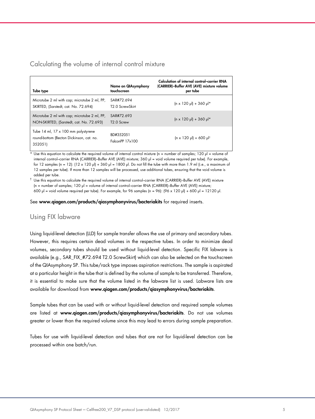## Calculating the volume of internal control mixture

| Tube type                                                                                  | Name on QIAsymphony<br>touchscreen         | Calculation of internal control-carrier RNA<br>(CARRIER)-Buffer AVE (AVE) mixture volume<br>per tube |
|--------------------------------------------------------------------------------------------|--------------------------------------------|------------------------------------------------------------------------------------------------------|
| Microtube 2 ml with cap; microtube 2 ml, PP,<br>SKIRTED, (Sarstedt, cat. No. 72.694)       | SAR#72.694<br>T <sub>2</sub> .0 ScrewSkirt | $(n \times 120 \text{ pl}) + 360 \text{ pl}$ *                                                       |
| Microtube 2 ml with cap; microtube 2 ml, PP,<br>NON-SKIRTED, (Sarstedt, cat. No. 72.693)   | SAR#72 693<br>T <sub>2.0</sub> Screw       | $(n \times 120 \text{ pl}) + 360 \text{ pl}^*$                                                       |
| Tube 14 ml, 17 x 100 mm polystyrene<br>round-bottom (Becton Dickinson, cat. no.<br>352051) | BD#352051<br>FalconPP 17x100               | $\ln x$ 120 µl) + 600 µl <sup>†</sup>                                                                |

Use this equation to calculate the required volume of internal control mixture (n = number of samples; 120  $\mu$  = volume of internal control–carrier RNA (CARRIER)–Buffer AVE (AVE) mixture; 360 µl = void volume required per tube). For example, for 12 samples (n = 12):  $(12 \times 120 \text{ pl}) + 360 \text{ pl} = 1800 \text{ pl}$ . Do not fill the tube with more than 1.9 ml (i.e., a maximum of 12 samples per tube). If more than 12 samples will be processed, use additional tubes, ensuring that the void volume is added per tube.

 $^\dagger$  Use this equation to calculate the required volume of internal control–carrier RNA (CARRIER)–Buffer AVE (AVE) mixture (n = number of samples; 120 µl = volume of internal control–carrier RNA (CARRIER)–Buffer AVE (AVE) mixture; 600 µl = void volume required per tube). For example, for 96 samples (n = 96): (96 x 120 µl) + 600 µl = 12120 µl.

See www.qiagen.com/products/qiasymphonyvirus/bacteriakits for required inserts.

#### Using FIX labware

Using liquid-level detection (LLD) for sample transfer allows the use of primary and secondary tubes. However, this requires certain dead volumes in the respective tubes. In order to minimize dead volumes, secondary tubes should be used without liquid-level detection. Specific FIX labware is available (e.g., SAR\_FIX\_#72.694 T2.0 ScrewSkirt) which can also be selected on the touchscreen of the QIAsymphony SP. This tube/rack type imposes aspiration restrictions. The sample is aspirated at a particular height in the tube that is defined by the volume of sample to be transferred. Therefore, it is essential to make sure that the volume listed in the labware list is used. Labware lists are available for download from www.qiagen.com/products/qiasymphonyvirus/bacteriakits.

Sample tubes that can be used with or without liquid-level detection and required sample volumes are listed at www.qiagen.com/products/qiasymphonyvirus/bacteriakits. Do not use volumes greater or lower than the required volume since this may lead to errors during sample preparation.

Tubes for use with liquid-level detection and tubes that are not for liquid-level detection can be processed within one batch/run.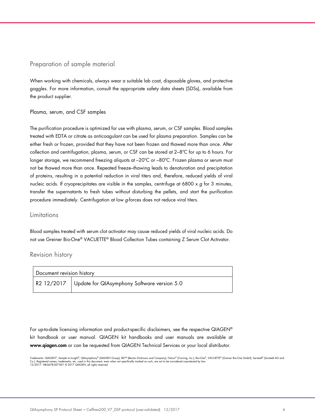### Preparation of sample material

When working with chemicals, always wear a suitable lab coat, disposable gloves, and protective goggles. For more information, consult the appropriate safety data sheets (SDSs), available from the product supplier.

#### Plasma, serum, and CSF samples

The purification procedure is optimized for use with plasma, serum, or CSF samples. Blood samples treated with EDTA or citrate as anticoagulant can be used for plasma preparation. Samples can be either fresh or frozen, provided that they have not been frozen and thawed more than once. After collection and centrifugation, plasma, serum, or CSF can be stored at 2–8ºC for up to 6 hours. For longer storage, we recommend freezing aliquots at –20ºC or –80ºC. Frozen plasma or serum must not be thawed more than once. Repeated freeze–thawing leads to denaturation and precipitation of proteins, resulting in a potential reduction in viral titers and, therefore, reduced yields of viral nucleic acids. If cryoprecipitates are visible in the samples, centrifuge at 6800 x  $g$  for 3 minutes, transfer the supernatants to fresh tubes without disturbing the pellets, and start the purification procedure immediately. Centrifugation at low g-forces does not reduce viral titers.

#### Limitations

Blood samples treated with serum clot activator may cause reduced yields of viral nucleic acids. Do not use Greiner Bio-One® VACUETTE® Blood Collection Tubes containing Z Serum Clot Activator.

#### Revision history

| Document revision history |                                                                        |
|---------------------------|------------------------------------------------------------------------|
|                           | $_{\rm I}$ R2 12/2017 $\,$ Update for QIAsymphony Software version 5.0 |

For up-to-date licensing information and product-specific disclaimers, see the respective QIAGEN® kit handbook or user manual. QIAGEN kit handbooks and user manuals are available at www.qiagen.com or can be requested from QIAGEN Technical Services or your local distributor.

Trademarks: QIAGEN®, Sample to Insight®, QIAsymphony® (QIAGEN Group); BD™ (Becton Dickinson and Company); Falcon® (Corning, Inc.); Bio-One®, VACUETTE® (Greiner Bio-One GmbH); Sarstedt® (Sarstedt AG and<br>Co.). Registered na Co.). Registered names, trademarks, etc. used in this document, even 12/2017 HB-0678-S07-001 © 2017 QIAGEN, all rights reserved.